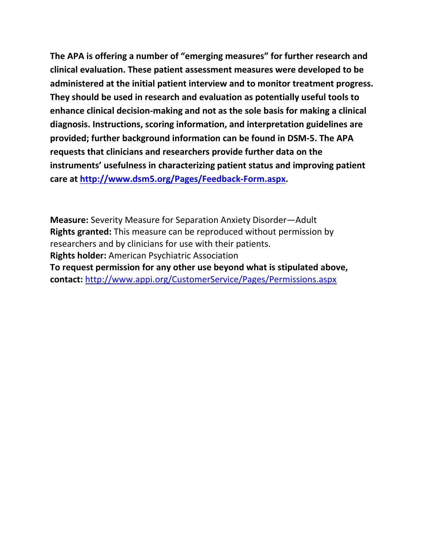**The APA is offering a number of "emerging measures" for further research and clinical evaluation. These patient assessment measures were developed to be administered at the initial patient interview and to monitor treatment progress. They should be used in research and evaluation as potentially useful tools to enhance clinical decision-making and not as the sole basis for making a clinical diagnosis. Instructions, scoring information, and interpretation guidelines are provided; further background information can be found in DSM-5. The APA requests that clinicians and researchers provide further data on the instruments' usefulness in characterizing patient status and improving patient care at [http://www.dsm5.org/Pages/Feedback-Form.aspx.](http://www.dsm5.org/Pages/Feedback-Form.aspx)**

**Measure:** Severity Measure for Separation Anxiety Disorder—Adult **Rights granted:** This measure can be reproduced without permission by researchers and by clinicians for use with their patients. **Rights holder:** American Psychiatric Association **To request permission for any other use beyond what is stipulated above, contact:** <http://www.appi.org/CustomerService/Pages/Permissions.aspx>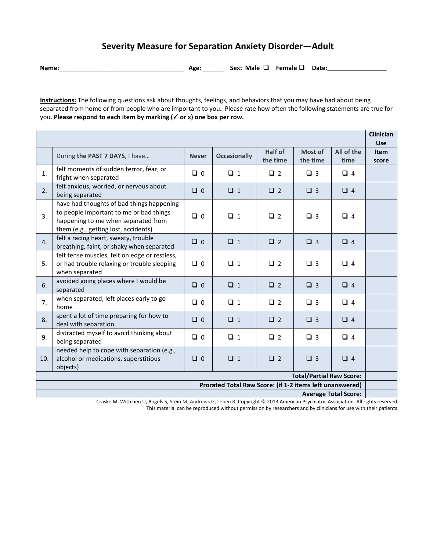## **Severity Measure for Separation Anxiety Disorder—Adult**

**Name:**\_\_\_\_\_\_\_\_\_\_\_\_\_\_\_\_\_\_\_\_\_\_\_\_\_\_\_\_\_\_\_\_\_\_\_\_ **Age:** \_\_\_\_\_\_ **Sex: Male Female Date:\_\_\_\_\_\_\_\_\_\_\_\_\_\_\_\_\_**

**Instructions:** The following questions ask about thoughts, feelings, and behaviors that you may have had about being separated from home or from people who are important to you. Please rate how often the following statements are true for you. **Please respond to each item by marking ( or x) one box per row.** 

|                                                                                         |                                                                                                                                                                     |              |                     |                     |                     |                    | Clinician<br><b>Use</b> |
|-----------------------------------------------------------------------------------------|---------------------------------------------------------------------------------------------------------------------------------------------------------------------|--------------|---------------------|---------------------|---------------------|--------------------|-------------------------|
|                                                                                         | During the PAST 7 DAYS, I have                                                                                                                                      | <b>Never</b> | <b>Occasionally</b> | Half of<br>the time | Most of<br>the time | All of the<br>time | <b>Item</b><br>score    |
| 1.                                                                                      | felt moments of sudden terror, fear, or<br>fright when separated                                                                                                    | $\Box$ 0     | $\Box$ 1            | $\Box$ 2            | $\Box$ 3            | $\Box$ 4           |                         |
| 2.                                                                                      | felt anxious, worried, or nervous about<br>being separated                                                                                                          | $\Box$ 0     | $\Box$ 1            | $\Box$ 2            | $\Box$ 3            | $\Box$ 4           |                         |
| 3.                                                                                      | have had thoughts of bad things happening<br>to people important to me or bad things<br>happening to me when separated from<br>them (e.g., getting lost, accidents) | $\Box$ 0     | $\Box$ 1            | $\Box$ 2            | $\Box$ 3            | $\Box$ 4           |                         |
| $\overline{4}$ .                                                                        | felt a racing heart, sweaty, trouble<br>breathing, faint, or shaky when separated                                                                                   | $\Box$ 0     | $\Box$ 1            | $\Box$ 2            | $\Box$ 3            | $\Box$ 4           |                         |
| 5.                                                                                      | felt tense muscles, felt on edge or restless,<br>or had trouble relaxing or trouble sleeping<br>when separated                                                      | $\Box$ 0     | $\Box$ 1            | $\Box$ 2            | $\Box$ 3            | $\Box$ 4           |                         |
| 6.                                                                                      | avoided going places where I would be<br>separated                                                                                                                  | $\Box$ 0     | $\Box$ 1            | $\Box$ 2            | $\Box$ 3            | $\Box$ 4           |                         |
| 7.                                                                                      | when separated, left places early to go<br>home                                                                                                                     | $\Box$ 0     | $\Box$ 1            | $\Box$ 2            | $\Box$ 3            | $\Box$ 4           |                         |
| 8.                                                                                      | spent a lot of time preparing for how to<br>deal with separation                                                                                                    | $\Box$ 0     | $\Box$ 1            | $\Box$ 2            | $\Box$ 3            | $\Box$ 4           |                         |
| 9.                                                                                      | distracted myself to avoid thinking about<br>being separated                                                                                                        | $\Box$ 0     | $\Box$ 1            | $\Box$ 2            | $\Box$ 3            | $\Box$ 4           |                         |
| 10.                                                                                     | needed help to cope with separation (e.g.,<br>alcohol or medications, superstitious<br>objects)                                                                     | $\Box$ 0     | $\Box$ 1            | $\Box$ 2            | $\Box$ 3            | $\Box$ 4           |                         |
| <b>Total/Partial Raw Score:</b>                                                         |                                                                                                                                                                     |              |                     |                     |                     |                    |                         |
| Prorated Total Raw Score: (if 1-2 items left unanswered)<br><b>Average Total Score:</b> |                                                                                                                                                                     |              |                     |                     |                     |                    |                         |
|                                                                                         |                                                                                                                                                                     |              |                     |                     |                     |                    |                         |

Craske M, Wittchen U, Bogels S, Stein M, Andrews G, Lebeu R. Copyright © 2013 American Psychiatric Association. All rights reserved. This material can be reproduced without permission by researchers and by clinicians for use with their patients.